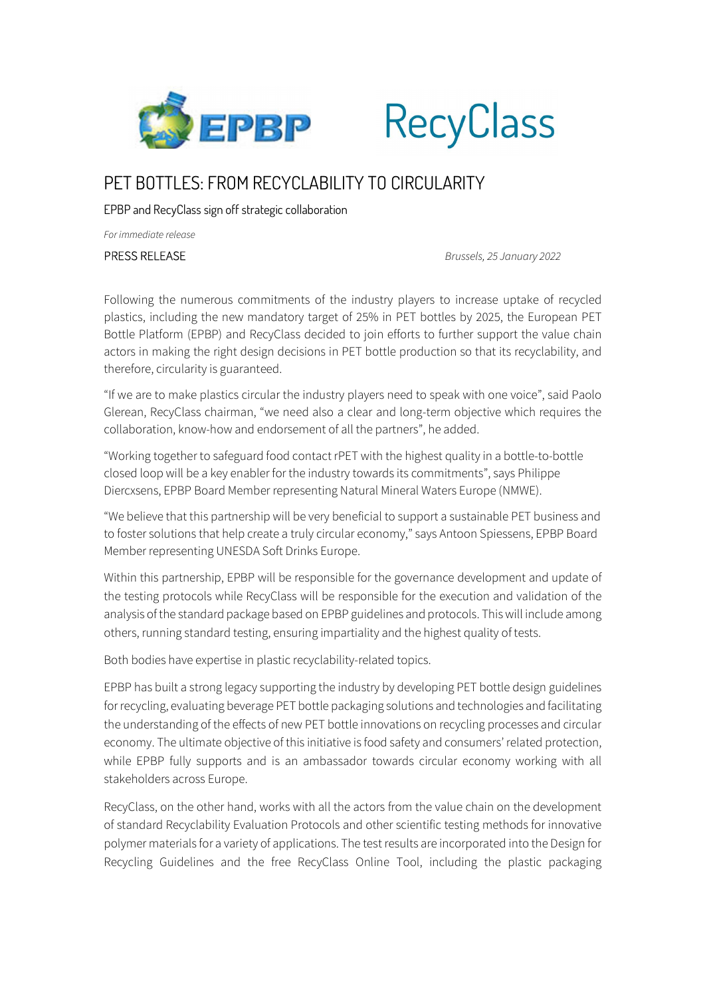



## PET BOTTLES: FROM RECYCLABILITY TO CIRCULARITY

EPBP and RecyClass sign off strategic collaboration

For immediate release

PRESS RELEASE<br>Following the numerous commitments of the industry players to increase uptake of recycled plastics, including the new mandatory target of 25% in PET bottles by 2025, the European PET Bottle Platform (EPBP) and RecyClass decided to join efforts to further support the value chain actors in making the right design decisions in PET bottle production so that its recyclability, and therefore, circularity is guaranteed.

"If we are to make plastics circular the industry players need to speak with one voice", said Paolo Glerean, RecyClass chairman, "we need also a clear and long-term objective which requires the collaboration, know-how and endorsement of all the partners", he added.

"Working together to safeguard food contact rPET with the highest quality in a bottle-to-bottle closed loop will be a key enabler for the industry towards its commitments", says Philippe Diercxsens, EPBP Board Member representing Natural Mineral Waters Europe (NMWE).

"We believe that this partnership will be very beneficial to support a sustainable PET business and to foster solutions that help create a truly circular economy," says Antoon Spiessens, EPBP Board Member representing UNESDA Soft Drinks Europe.

Within this partnership, EPBP will be responsible for the governance development and update of the testing protocols while RecyClass will be responsible for the execution and validation of the analysis of the standard package based on EPBP guidelines and protocols. This will include among others, running standard testing, ensuring impartiality and the highest quality of tests.

Both bodies have expertise in plastic recyclability-related topics.

EPBP has built a strong legacy supporting the industry by developing PET bottle design guidelines for recycling, evaluating beverage PET bottle packaging solutions and technologies and facilitating the understanding of the effects of new PET bottle innovations on recycling processes and circular economy. The ultimate objective of this initiative is food safety and consumers' related protection, while EPBP fully supports and is an ambassador towards circular economy working with all stakeholders across Europe.

RecyClass, on the other hand, works with all the actors from the value chain on the development of standard Recyclability Evaluation Protocols and other scientific testing methods for innovative polymer materials for a variety of applications. The test results are incorporated into the Design for Recycling Guidelines and the free RecyClass Online Tool, including the plastic packaging